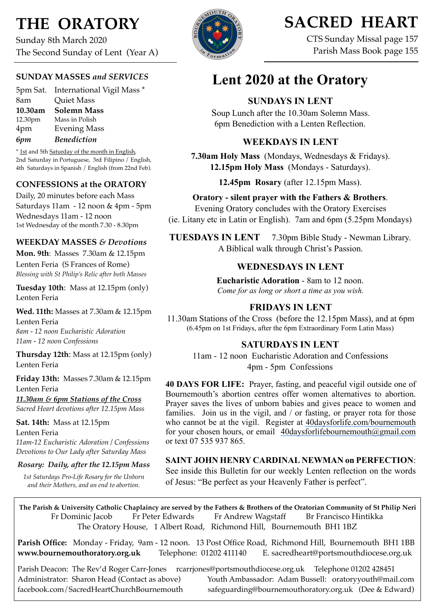# **THE ORATORY**

Sunday 8th March 2020 The Second Sunday of Lent (Year A)

#### **SUNDAY MASSES** *and SERVICES*

5pm Sat. International Vigil Mass \* 8am Quiet Mass **10.30am Solemn Mass** 12.30pm Mass in Polish 4pm Evening Mass *6pm Benediction*

\* 1st and 5th Saturday of the month in English, 2nd Saturday in Portuguese, 3rd Filipino / English, 4th Saturdays in Spanish / English (from 22nd Feb).

#### **CONFESSIONS at the ORATORY**

Daily, 20 minutes before each Mass Saturdays 11am - 12 noon & 4pm - 5pm Wednesdays 11am - 12 noon 1st Wednesday of the month 7.30 - 8.30pm

#### **WEEKDAY MASSES** *& Devotions*

**Mon. 9th**: Masses 7.30am & 12.15pm Lenten Feria (S Frances of Rome) *Blessing with St Philip's Relic after both Masses*

**Tuesday 10th**: Mass at 12.15pm (only) Lenten Feria

**Wed. 11th:** Masses at 7.30am & 12.15pm Lenten Feria *8am - 12 noon Eucharistic Adoration 11am - 12 noon Confessions*

**Thursday 12th**: Mass at 12.15pm (only) Lenten Feria

**Friday 13th:** Masses 7.30am & 12.15pm Lenten Feria

*11.30am & 6pm Stations of the Cross Sacred Heart devotions after 12.15pm Mass*

**Sat. 14th:** Mass at 12.15pm Lenten Feria *11am-12 Eucharistic Adoration / Confessions Devotions to Our Lady after Saturday Mass*

#### *Rosary: Daily, after the 12.15pm Mass*

*1st Saturdays Pro-Life Rosary for the Unborn and their Mothers, and an end to abortion.*



# **SACRED HEART**

CTS Sunday Missal page 157 Parish Mass Book page 155

# **Lent 2020 at the Oratory**

# **SUNDAYS IN LENT**

Soup Lunch after the 10.30am Solemn Mass. 6pm Benediction with a Lenten Reflection.

## **WEEKDAYS IN LENT**

**7.30am Holy Mass** (Mondays, Wednesdays & Fridays). **12.15pm Holy Mass** (Mondays - Saturdays).

**12.45pm Rosary** (after 12.15pm Mass).

**Oratory - silent prayer with the Fathers & Brothers**. Evening Oratory concludes with the Oratory Exercises (ie. Litany etc in Latin or English). 7am and 6pm (5.25pm Mondays)

**TUESDAYS IN LENT** 7.30pm Bible Study - Newman Library. A Biblical walk through Christ's Passion.

## **WEDNESDAYS IN LENT**

**Eucharistic Adoration** - 8am to 12 noon. *Come for as long or short a time as you wish.*

# **FRIDAYS IN LENT**

11.30am Stations of the Cross (before the 12.15pm Mass), and at 6pm (6.45pm on 1st Fridays, after the 6pm Extraordinary Form Latin Mass)

# **SATURDAYS IN LENT**

11am - 12 noon Eucharistic Adoration and Confessions 4pm - 5pm Confessions

**40 DAYS FOR LIFE:** Prayer, fasting, and peaceful vigil outside one of Bournemouth's abortion centres offer women alternatives to abortion. Prayer saves the lives of unborn babies and gives peace to women and families. Join us in the vigil, and / or fasting, or prayer rota for those who cannot be at the vigil. Register at [40daysforlife.com/bournemouth](http://40daysforlife.com/bournemouth) for your chosen hours, or email [40daysforlifebournemouth@gmail.com](mailto:40daysforlifebournemouth@gmail.com) or text 07 535 937 865.

#### **SAINT JOHN HENRY CARDINAL NEWMAN on PERFECTION**:

See inside this Bulletin for our weekly Lenten reflection on the words of Jesus: "Be perfect as your Heavenly Father is perfect".

**The Parish & University Catholic Chaplaincy are served by the Fathers & Brothers of the Oratorian Community of St Philip Neri**  Fr Dominic Jacob Fr Peter Edwards Fr Andrew Wagstaff Br Francisco Hintikka The Oratory House, 1 Albert Road, Richmond Hill, Bournemouth BH1 1BZ

**Parish Office:** Monday - Friday, 9am - 12 noon. 13 Post Office Road, Richmond Hill, Bournemouth BH1 1BB **[www.bournemouthoratory.org.uk](http://www.bournemoithoratory.org.uk)** Telephone: 01202 411140 E. [sacredheart@portsmouthdiocese.org.uk](mailto:sacredheart@portsmouthdiocese.org.uk)

Parish Deacon: The Rev'd Roger Carr-Jones [rcarrjones@portsmouthdiocese.org.uk](mailto:rcarrjones@portsmouthdiocese.org.uk) Telephone 01202 428451<br>Administrator: Sharon Head (Contact as above) Youth Ambassador: Adam Bussell: oratoryvouth@mai Youth Ambassador: Adam Bussell: [oratoryyouth@mail.com](http://oratoryyouth.mail.com) [facebook.com/SacredHeartChurchBournemouth](http://facebook.com/SaccredHeartChurchBournemouth) [safeguarding@bournemouthoratory.org.uk](mailto:safeguarding@bournemouthoratory.org.uk) (Dee & Edward)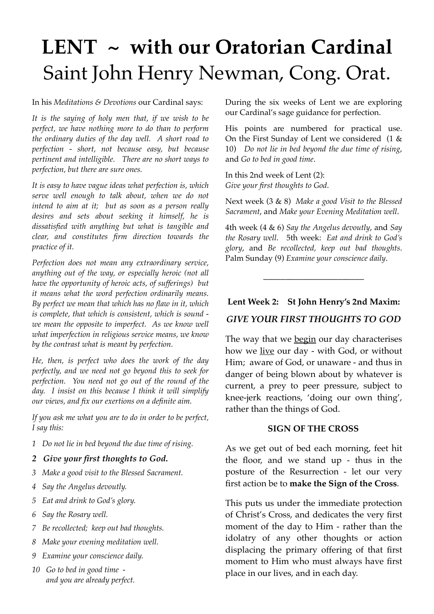# **LENT ~ with our Oratorian Cardinal** Saint John Henry Newman, Cong. Orat.

In his *Meditations & Devotions* our Cardinal says:

*It is the saying of holy men that, if we wish to be perfect, we have nothing more to do than to perform the ordinary duties of the day well. A short road to perfection - short, not because easy, but because pertinent and intelligible. There are no short ways to perfection, but there are sure ones.*

*It is easy to have vague ideas what perfection is, which serve well enough to talk about, when we do not intend to aim at it; but as soon as a person really desires and sets about seeking it himself, he is dissatisfied with anything but what is tangible and clear, and constitutes firm direction towards the practice of it.*

*Perfection does not mean any extraordinary service, anything out of the way, or especially heroic (not all have the opportunity of heroic acts, of sufferings) but it means what the word perfection ordinarily means. By perfect we mean that which has no flaw in it, which is complete, that which is consistent, which is sound we mean the opposite to imperfect. As we know well what imperfection in religious service means, we know by the contrast what is meant by perfection.*

*He, then, is perfect who does the work of the day perfectly, and we need not go beyond this to seek for perfection. You need not go out of the round of the day. I insist on this because I think it will simplify our views, and fix our exertions on a definite aim.*

*If you ask me what you are to do in order to be perfect, I say this:*

- *1 Do not lie in bed beyond the due time of rising.*
- *2 Give your first thoughts to God.*
- *3 Make a good visit to the Blessed Sacrament.*
- *4 Say the Angelus devoutly.*
- *5 Eat and drink to God's glory.*
- *6 Say the Rosary well.*
- *7 Be recollected; keep out bad thoughts.*
- *8 Make your evening meditation well.*
- *9 Examine your conscience daily.*
- *10 Go to bed in good time and you are already perfect.*

During the six weeks of Lent we are exploring our Cardinal's sage guidance for perfection.

His points are numbered for practical use. On the First Sunday of Lent we considered (1 & 10) *Do not lie in bed beyond the due time of rising*, and *Go to bed in good time*.

In this 2nd week of Lent (2): *Give your first thoughts to God*.

Next week (3 & 8) *Make a good Visit to the Blessed Sacrament*, and *Make your Evening Meditation well*.

4th week (4 & 6) *Say the Angelus devoutly*, and *Say the Rosary well*. 5th week: *Eat and drink to God's glory*, and *Be recollected, keep out bad thoughts*. Palm Sunday (9) *Examine your conscience daily*.

#### **Lent Week 2: St John Henry's 2nd Maxim:**

\_\_\_\_\_\_\_\_\_\_\_\_\_\_\_\_\_\_\_\_\_\_\_

#### *GIVE YOUR FIRST THOUGHTS TO GOD*

The way that we begin our day characterises how we live our day - with God, or without Him; aware of God, or unaware - and thus in danger of being blown about by whatever is current, a prey to peer pressure, subject to knee-jerk reactions, 'doing our own thing', rather than the things of God.

#### **SIGN OF THE CROSS**

As we get out of bed each morning, feet hit the floor, and we stand up - thus in the posture of the Resurrection - let our very first action be to **make the Sign of the Cross**.

This puts us under the immediate protection of Christ's Cross, and dedicates the very first moment of the day to Him - rather than the idolatry of any other thoughts or action displacing the primary offering of that first moment to Him who must always have first place in our lives, and in each day.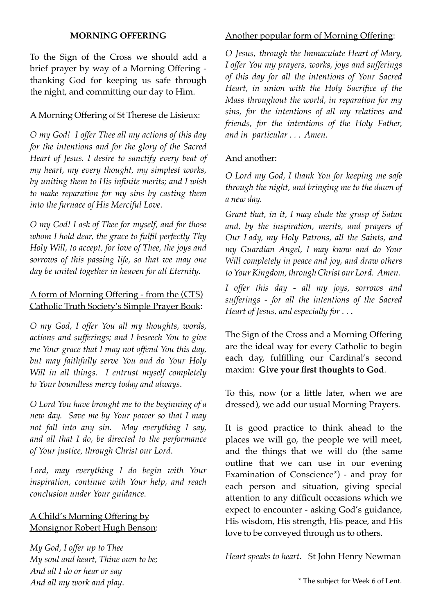#### **MORNING OFFERING**

To the Sign of the Cross we should add a brief prayer by way of a Morning Offering thanking God for keeping us safe through the night, and committing our day to Him.

## A Morning Offering of St Therese de Lisieux:

*O my God! I offer Thee all my actions of this day for the intentions and for the glory of the Sacred Heart of Jesus. I desire to sanctify every beat of my heart, my every thought, my simplest works, by uniting them to His infinite merits; and I wish to make reparation for my sins by casting them into the furnace of His Merciful Love.*

*O my God! I ask of Thee for myself, and for those whom I hold dear, the grace to fulfil perfectly Thy Holy Will, to accept, for love of Thee, the joys and sorrows of this passing life, so that we may one day be united together in heaven for all Eternity.*

## A form of Morning Offering - from the (CTS) Catholic Truth Society's Simple Prayer Book:

*O my God, I offer You all my thoughts, words, actions and sufferings; and I beseech You to give me Your grace that I may not offend You this day, but may faithfully serve You and do Your Holy Will in all things. I entrust myself completely to Your boundless mercy today and always*.

*O Lord You have brought me to the beginning of a new day. Save me by Your power so that I may not fall into any sin. May everything I say, and all that I do, be directed to the performance of Your justice, through Christ our Lord*.

*Lord, may everything I do begin with Your inspiration, continue with Your help, and reach conclusion under Your guidance*.

# A Child's Morning Offering by Monsignor Robert Hugh Benson:

*My God, I offer up to Thee My soul and heart, Thine own to be; And all I do or hear or say And all my work and play*.

# Another popular form of Morning Offering:

*O Jesus, through the Immaculate Heart of Mary, I offer You my prayers, works, joys and sufferings of this day for all the intentions of Your Sacred Heart, in union with the Holy Sacrifice of the Mass throughout the world, in reparation for my sins, for the intentions of all my relatives and friends, for the intentions of the Holy Father, and in particular . . . Amen.*

## And another:

*O Lord my God, I thank You for keeping me safe through the night, and bringing me to the dawn of a new day.*

*Grant that, in it, I may elude the grasp of Satan and, by the inspiration, merits, and prayers of Our Lady, my Holy Patrons, all the Saints, and my Guardian Angel, I may know and do Your Will completely in peace and joy, and draw others toYourKingdom, throughChrist our Lord. Amen.*

*I offer this day - all my joys, sorrows and sufferings - for all the intentions of the Sacred Heart of Jesus, and especially for . .* .

The Sign of the Cross and a Morning Offering are the ideal way for every Catholic to begin each day, fulfilling our Cardinal's second maxim: **Give your first thoughts to God**.

To this, now (or a little later, when we are dressed), we add our usual Morning Prayers.

It is good practice to think ahead to the places we will go, the people we will meet, and the things that we will do (the same outline that we can use in our evening Examination of Conscience\*) - and pray for each person and situation, giving special attention to any difficult occasions which we expect to encounter - asking God's guidance, His wisdom, His strength, His peace, and His love to be conveyed through us to others.

*Heart speaks to heart*. St John Henry Newman

\* The subject for Week 6 of Lent.